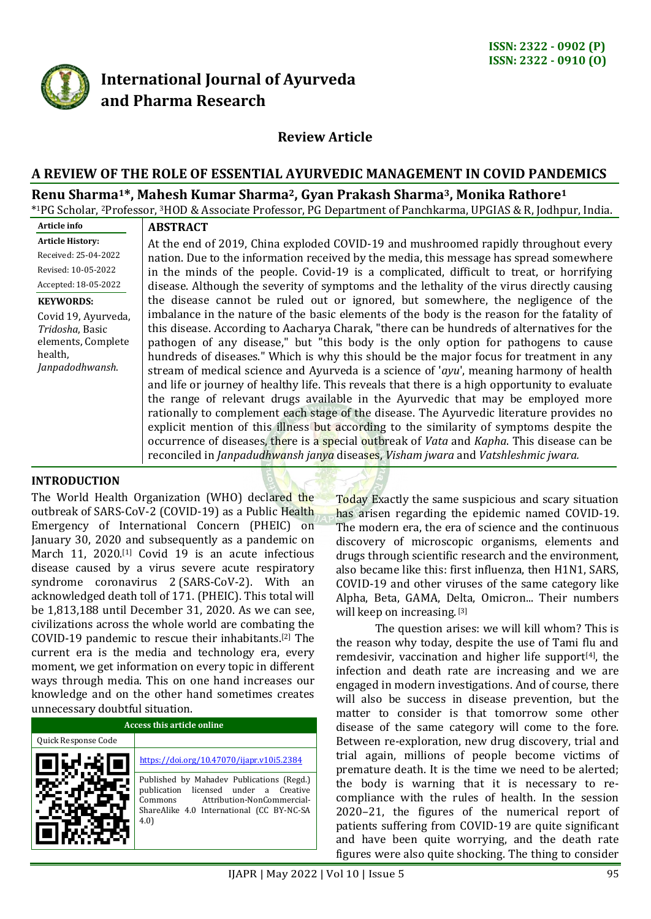

# **International Journal of Ayurveda and Pharma Research**

# **Review Article**

### **A REVIEW OF THE ROLE OF ESSENTIAL AYURVEDIC MANAGEMENT IN COVID PANDEMICS**

#### **Renu Sharma1\*, Mahesh Kumar Sharma2, Gyan Prakash Sharma3, Monika Rathore<sup>1</sup>**

\* <sup>1</sup>PG Scholar, <sup>2</sup>Professor, <sup>3</sup>HOD & Associate Professor, PG Department of Panchkarma, UPGIAS & R, Jodhpur, India.

#### **Article info Article History:**

Received: 25-04-2022 Revised: 10-05-2022 Accepted: 18-05-2022

#### **KEYWORDS:**

Covid 19, Ayurveda, *Tridosha*, Basic elements, Complete health, *Janpadodhwansh*.

# **ABSTRACT**

At the end of 2019, China exploded COVID-19 and mushroomed rapidly throughout every nation. Due to the information received by the media, this message has spread somewhere in the minds of the people. Covid-19 is a complicated, difficult to treat, or horrifying disease. Although the severity of symptoms and the lethality of the virus directly causing the disease cannot be ruled out or ignored, but somewhere, the negligence of the imbalance in the nature of the basic elements of the body is the reason for the fatality of this disease. According to Aacharya Charak, "there can be hundreds of alternatives for the pathogen of any disease," but "this body is the only option for pathogens to cause hundreds of diseases." Which is why this should be the major focus for treatment in any stream of medical science and Ayurveda is a science of '*ayu*', meaning harmony of health and life or journey of healthy life. This reveals that there is a high opportunity to evaluate the range of relevant drugs available in the Ayurvedic that may be employed more rationally to complement each stage of the disease. The Ayurvedic literature provides no explicit mention of this illness but according to the similarity of symptoms despite the occurrence of diseases, there is a special outbreak of *Vata* and *Kapha*. This disease can be reconciled in *Janpadudhwansh janya* diseases, *Visham jwara* and *Vatshleshmic jwara.*

### **INTRODUCTION**

The World Health Organization (WHO) declared the outbreak of SARS-CoV-2 (COVID-19) as a Public Health Emergency of International Concern (PHEIC) on January 30, 2020 and subsequently as a pandemic on March 11, 2020.<sup>[1]</sup> Covid 19 is an acute infectious disease caused by a virus severe acute respiratory syndrome coronavirus 2 (SARS-CoV-2). With an acknowledged death toll of 171. (PHEIC). This total will be 1,813,188 until December 31, 2020. As we can see, civilizations across the whole world are combating the COVID-19 pandemic to rescue their inhabitants.[2] The current era is the media and technology era, every moment, we get information on every topic in different ways through media. This on one hand increases our knowledge and on the other hand sometimes creates unnecessary doubtful situation.

| Access this article online |                                                                                                                                                                                 |
|----------------------------|---------------------------------------------------------------------------------------------------------------------------------------------------------------------------------|
| Quick Response Code        |                                                                                                                                                                                 |
|                            | https://doi.org/10.47070/jjapr.v10i5.2384                                                                                                                                       |
|                            | Published by Mahadev Publications (Regd.)<br>publication licensed under a Creative<br>Attribution-NonCommercial-<br>Commons<br>ShareAlike 4.0 International (CC BY-NC-SA<br>4.0 |

Today Exactly the same suspicious and scary situation has arisen regarding the epidemic named COVID-19. The modern era, the era of science and the continuous discovery of microscopic organisms, elements and drugs through scientific research and the environment, also became like this: first influenza, then H1N1, SARS, COVID-19 and other viruses of the same category like Alpha, Beta, GAMA, Delta, Omicron... Their numbers will keep on increasing. [3]

The question arises: we will kill whom? This is the reason why today, despite the use of Tami flu and remdesivir, vaccination and higher life support[4], the infection and death rate are increasing and we are engaged in modern investigations. And of course, there will also be success in disease prevention, but the matter to consider is that tomorrow some other disease of the same category will come to the fore. Between re-exploration, new drug discovery, trial and trial again, millions of people become victims of premature death. It is the time we need to be alerted; the body is warning that it is necessary to recompliance with the rules of health. In the session 2020–21, the figures of the numerical report of patients suffering from COVID-19 are quite significant and have been quite worrying, and the death rate figures were also quite shocking. The thing to consider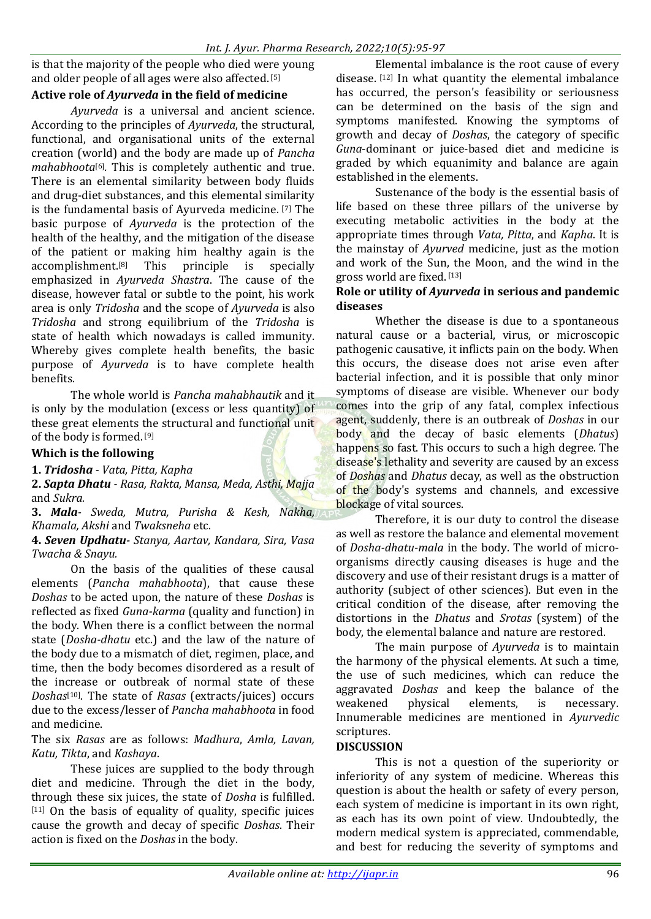is that the majority of the people who died were young and older people of all ages were also affected. [5]

# **Active role of** *Ayurveda* **in the field of medicine**

*Ayurveda* is a universal and ancient science. According to the principles of *Ayurveda*, the structural, functional, and organisational units of the external creation (world) and the body are made up of *Pancha mahabhoota*[6] *.* This is completely authentic and true. There is an elemental similarity between body fluids and drug-diet substances, and this elemental similarity is the fundamental basis of Ayurveda medicine. [7] The basic purpose of *Ayurveda* is the protection of the health of the healthy, and the mitigation of the disease of the patient or making him healthy again is the accomplishment.[8] This principle is specially emphasized in *Ayurveda Shastra*. The cause of the disease, however fatal or subtle to the point, his work area is only *Tridosha* and the scope of *Ayurveda* is also *Tridosha* and strong equilibrium of the *Tridosha* is state of health which nowadays is called immunity. Whereby gives complete health benefits, the basic purpose of *Ayurveda* is to have complete health benefits.

The whole world is *Pancha mahabhautik* and it is only by the modulation (excess or less quantity) of these great elements the structural and functional unit of the body is formed. [9]

# **Which is the following**

**1.** *Tridosha - Vata, Pitta, Kapha*

**2.** *Sapta Dhatu - Rasa, Rakta, Mansa, Meda, Asthi, Majja*  and *Sukra.*

**3.** *Mala- Sweda, Mutra, Purisha & Kesh, Nakha, Khamala, Akshi* and *Twaksneha* etc.

**4.** *Seven Updhatu- Stanya, Aartav, Kandara, Sira, Vasa Twacha & Snayu.*

On the basis of the qualities of these causal elements (*Pancha mahabhoota*), that cause these *Doshas* to be acted upon, the nature of these *Doshas* is reflected as fixed *Guna-karma* (quality and function) in the body. When there is a conflict between the normal state (*Dosha-dhatu* etc.) and the law of the nature of the body due to a mismatch of diet, regimen, place, and time, then the body becomes disordered as a result of the increase or outbreak of normal state of these *Doshas*[10] *.* The state of *Rasas* (extracts/juices) occurs due to the excess/lesser of *Pancha mahabhoota* in food and medicine.

### The six *Rasas* are as follows: *Madhura*, *Amla, Lavan, Katu, Tikta*, and *Kashaya*.

These juices are supplied to the body through diet and medicine. Through the diet in the body, through these six juices, the state of *Dosha* is fulfilled.  $[11]$  On the basis of equality of quality, specific juices cause the growth and decay of specific *Doshas*. Their action is fixed on the *Doshas* in the body.

Elemental imbalance is the root cause of every disease. [12] In what quantity the elemental imbalance has occurred, the person's feasibility or seriousness can be determined on the basis of the sign and symptoms manifested. Knowing the symptoms of growth and decay of *Doshas*, the category of specific *Guna*-dominant or juice-based diet and medicine is graded by which equanimity and balance are again established in the elements.

Sustenance of the body is the essential basis of life based on these three pillars of the universe by executing metabolic activities in the body at the appropriate times through *Vata, Pitta*, and *Kapha*. It is the mainstay of *Ayurved* medicine, just as the motion and work of the Sun, the Moon, and the wind in the gross world are fixed. [13]

### **Role or utility of** *Ayurveda* **in serious and pandemic diseases**

Whether the disease is due to a spontaneous natural cause or a bacterial, virus, or microscopic pathogenic causative, it inflicts pain on the body. When this occurs, the disease does not arise even after bacterial infection, and it is possible that only minor symptoms of disease are visible. Whenever our body comes into the grip of any fatal, complex infectious agent, suddenly, there is an outbreak of *Doshas* in our body and the decay of basic elements (*Dhatus*) happens so fast. This occurs to such a high degree. The disease's lethality and severity are caused by an excess of *Doshas* and *Dhatus* decay, as well as the obstruction of the body's systems and channels, and excessive blockage of vital sources.

Therefore, it is our duty to control the disease as well as restore the balance and elemental movement of *Dosha-dhatu-mala* in the body. The world of microorganisms directly causing diseases is huge and the discovery and use of their resistant drugs is a matter of authority (subject of other sciences). But even in the critical condition of the disease, after removing the distortions in the *Dhatus* and *Srotas* (system) of the body, the elemental balance and nature are restored.

The main purpose of *Ayurveda* is to maintain the harmony of the physical elements. At such a time, the use of such medicines, which can reduce the aggravated *Doshas* and keep the balance of the weakened physical elements, is necessary. Innumerable medicines are mentioned in *Ayurvedic* scriptures.

## **DISCUSSION**

This is not a question of the superiority or inferiority of any system of medicine. Whereas this question is about the health or safety of every person, each system of medicine is important in its own right, as each has its own point of view. Undoubtedly, the modern medical system is appreciated, commendable, and best for reducing the severity of symptoms and